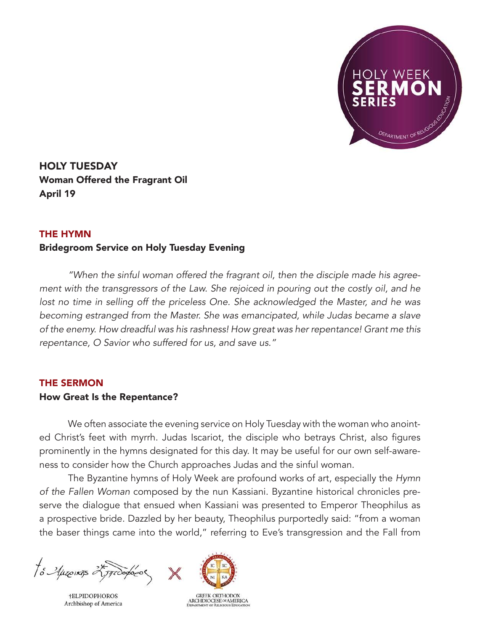

HOLY TUESDAY Woman Offered the Fragrant Oil April 19

## THE HYMN

## Bridegroom Service on Holy Tuesday Evening

*"When the sinful woman offered the fragrant oil, then the disciple made his agreement with the transgressors of the Law. She rejoiced in pouring out the costly oil, and he*  lost no time in selling off the priceless One. She acknowledged the Master, and he was *becoming estranged from the Master. She was emancipated, while Judas became a slave of the enemy. How dreadful was his rashness! How great was her repentance! Grant me this repentance, O Savior who suffered for us, and save us."*

## THE SERMON

## How Great Is the Repentance?

We often associate the evening service on Holy Tuesday with the woman who anointed Christ's feet with myrrh. Judas Iscariot, the disciple who betrays Christ, also figures prominently in the hymns designated for this day. It may be useful for our own self-awareness to consider how the Church approaches Judas and the sinful woman.

The Byzantine hymns of Holy Week are profound works of art, especially the *Hymn of the Fallen Woman* composed by the nun Kassiani. Byzantine historical chronicles preserve the dialogue that ensued when Kassiani was presented to Emperor Theophilus as a prospective bride. Dazzled by her beauty, Theophilus purportedly said: "from a woman the baser things came into the world," referring to Eve's transgression and the Fall from

to Auseixos 25,77000000

**†ELPIDOPHOROS** Archbishop of America